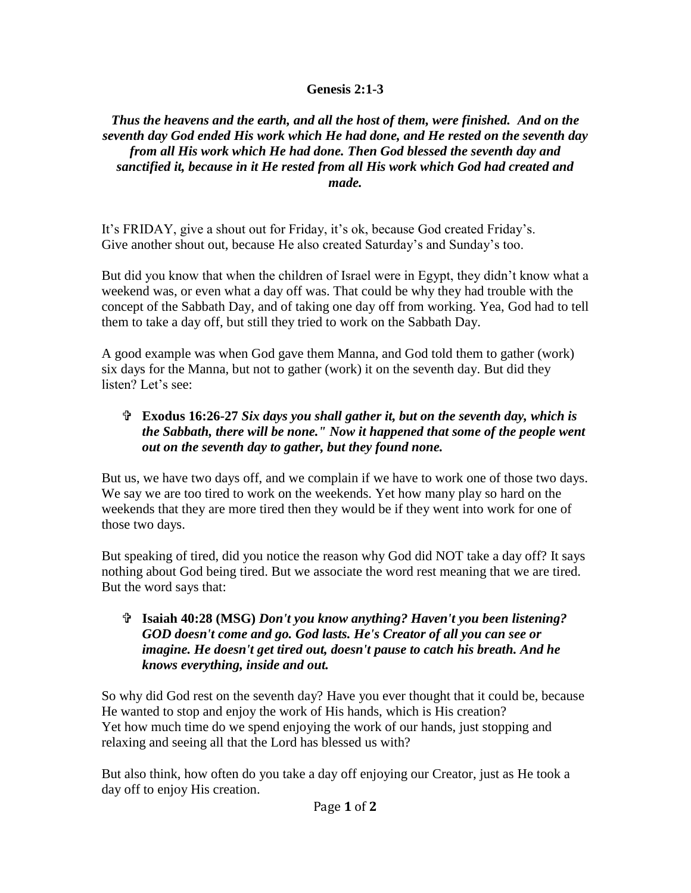## **Genesis 2:1-3**

*Thus the heavens and the earth, and all the host of them, were finished. And on the seventh day God ended His work which He had done, and He rested on the seventh day from all His work which He had done. Then God blessed the seventh day and sanctified it, because in it He rested from all His work which God had created and made.*

It's FRIDAY, give a shout out for Friday, it's ok, because God created Friday's. Give another shout out, because He also created Saturday's and Sunday's too.

But did you know that when the children of Israel were in Egypt, they didn't know what a weekend was, or even what a day off was. That could be why they had trouble with the concept of the Sabbath Day, and of taking one day off from working. Yea, God had to tell them to take a day off, but still they tried to work on the Sabbath Day.

A good example was when God gave them Manna, and God told them to gather (work) six days for the Manna, but not to gather (work) it on the seventh day. But did they listen? Let's see:

## **Exodus 16:26-27** *Six days you shall gather it, but on the seventh day, which is the Sabbath, there will be none." Now it happened that some of the people went out on the seventh day to gather, but they found none.*

But us, we have two days off, and we complain if we have to work one of those two days. We say we are too tired to work on the weekends. Yet how many play so hard on the weekends that they are more tired then they would be if they went into work for one of those two days.

But speaking of tired, did you notice the reason why God did NOT take a day off? It says nothing about God being tired. But we associate the word rest meaning that we are tired. But the word says that:

## **Isaiah 40:28 (MSG)** *Don't you know anything? Haven't you been listening? GOD doesn't come and go. God lasts. He's Creator of all you can see or imagine. He doesn't get tired out, doesn't pause to catch his breath. And he knows everything, inside and out.*

So why did God rest on the seventh day? Have you ever thought that it could be, because He wanted to stop and enjoy the work of His hands, which is His creation? Yet how much time do we spend enjoying the work of our hands, just stopping and relaxing and seeing all that the Lord has blessed us with?

But also think, how often do you take a day off enjoying our Creator, just as He took a day off to enjoy His creation.